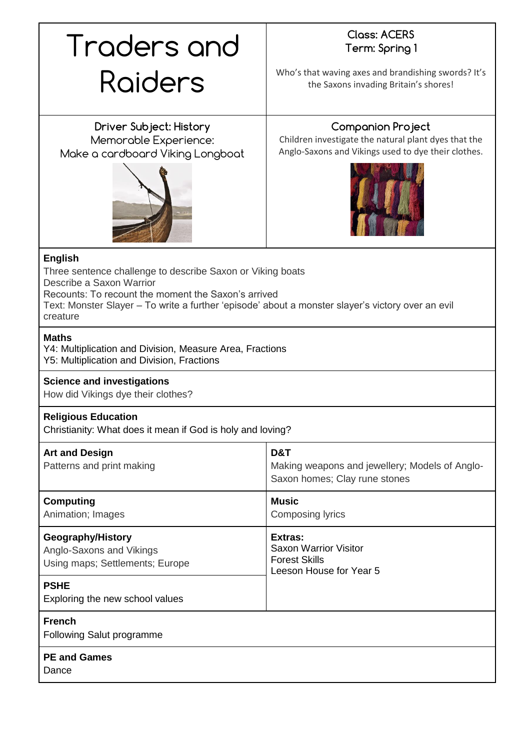# Traders and Raiders

# **Class: ACERS Term: Spring 1**

Who's that waving axes and brandishing swords? It's the Saxons invading Britain's shores!

**Driver Subject: History** Memorable Experience: Make a cardboard Viking Longboat



## **Companion Project**

Children investigate the natural plant dyes that the Anglo-Saxons and Vikings used to dye their clothes.



### **English**

Three sentence challenge to describe Saxon or Viking boats Describe a Saxon Warrior Recounts: To recount the moment the Saxon's arrived Text: Monster Slayer – To write a further 'episode' about a monster slayer's victory over an evil creature

#### **Maths**

Y4: Multiplication and Division, Measure Area, Fractions Y5: Multiplication and Division, Fractions

#### **Science and investigations**

How did Vikings dye their clothes?

#### **Religious Education**

Christianity: What does it mean if God is holy and loving?

| <b>Art and Design</b><br>Patterns and print making                               | D&T<br>Making weapons and jewellery; Models of Anglo-<br>Saxon homes; Clay rune stones     |
|----------------------------------------------------------------------------------|--------------------------------------------------------------------------------------------|
| <b>Computing</b><br>Animation; Images                                            | <b>Music</b><br>Composing lyrics                                                           |
| Geography/History<br>Anglo-Saxons and Vikings<br>Using maps; Settlements; Europe | Extras:<br><b>Saxon Warrior Visitor</b><br><b>Forest Skills</b><br>Leeson House for Year 5 |
| <b>PSHE</b><br>Exploring the new school values                                   |                                                                                            |
| <b>French</b><br><b>Following Salut programme</b>                                |                                                                                            |
| <b>PE and Games</b><br>Dance                                                     |                                                                                            |